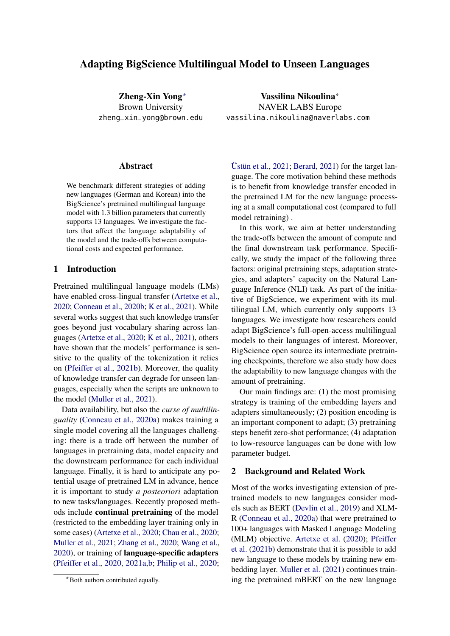# Adapting BigScience Multilingual Model to Unseen Languages

Zheng-Xin Yong<sup>∗</sup> Brown University zheng\_xin\_yong@brown.edu

#### **Abstract**

We benchmark different strategies of adding new languages (German and Korean) into the BigScience's pretrained multilingual language model with 1.3 billion parameters that currently supports 13 languages. We investigate the factors that affect the language adaptability of the model and the trade-offs between computational costs and expected performance.

### 1 Introduction

Pretrained multilingual language models (LMs) have enabled cross-lingual transfer [\(Artetxe et al.,](#page-4-0) [2020;](#page-4-0) [Conneau et al.,](#page-5-0) [2020b;](#page-5-0) [K et al.,](#page-5-1) [2021\)](#page-5-1). While several works suggest that such knowledge transfer goes beyond just vocabulary sharing across languages [\(Artetxe et al.,](#page-4-0) [2020;](#page-4-0) [K et al.,](#page-5-1) [2021\)](#page-5-1), others have shown that the models' performance is sensitive to the quality of the tokenization it relies on [\(Pfeiffer et al.,](#page-5-2) [2021b\)](#page-5-2). Moreover, the quality of knowledge transfer can degrade for unseen languages, especially when the scripts are unknown to the model [\(Muller et al.,](#page-5-3) [2021\)](#page-5-3).

Data availability, but also the *curse of multilinguality* [\(Conneau et al.,](#page-4-1) [2020a\)](#page-4-1) makes training a single model covering all the languages challenging: there is a trade off between the number of languages in pretraining data, model capacity and the downstream performance for each individual language. Finally, it is hard to anticipate any potential usage of pretrained LM in advance, hence it is important to study *a posteoriori* adaptation to new tasks/languages. Recently proposed methods include continual pretraining of the model (restricted to the embedding layer training only in some cases) [\(Artetxe et al.,](#page-4-0) [2020;](#page-4-0) [Chau et al.,](#page-4-2) [2020;](#page-4-2) [Muller et al.,](#page-5-3) [2021;](#page-5-3) [Zhang et al.,](#page-6-0) [2020;](#page-6-0) [Wang et al.,](#page-6-1) [2020\)](#page-6-1), or training of language-specific adapters [\(Pfeiffer et al.,](#page-5-4) [2020,](#page-5-4) [2021a](#page-5-5)[,b;](#page-5-2) [Philip et al.,](#page-5-6) [2020;](#page-5-6)

Vassilina Nikoulina<sup>∗</sup> NAVER LABS Europe vassilina.nikoulina@naverlabs.com

[Üstün et al.,](#page-6-2) [2021;](#page-6-2) [Berard,](#page-4-3) [2021\)](#page-4-3) for the target language. The core motivation behind these methods is to benefit from knowledge transfer encoded in the pretrained LM for the new language processing at a small computational cost (compared to full model retraining) .

In this work, we aim at better understanding the trade-offs between the amount of compute and the final downstream task performance. Specifically, we study the impact of the following three factors: original pretraining steps, adaptation strategies, and adapters' capacity on the Natural Language Inference (NLI) task. As part of the initiative of BigScience, we experiment with its multilingual LM, which currently only supports 13 languages. We investigate how researchers could adapt BigScience's full-open-access multilingual models to their languages of interest. Moreover, BigScience open source its intermediate pretraining checkpoints, therefore we also study how does the adaptability to new language changes with the amount of pretraining.

Our main findings are: (1) the most promising strategy is training of the embedding layers and adapters simultaneously; (2) position encoding is an important component to adapt; (3) pretraining steps benefit zero-shot performance; (4) adaptation to low-resource languages can be done with low parameter budget.

#### 2 Background and Related Work

Most of the works investigating extension of pretrained models to new languages consider models such as BERT [\(Devlin et al.,](#page-5-7) [2019\)](#page-5-7) and XLM-R [\(Conneau et al.,](#page-4-1) [2020a\)](#page-4-1) that were pretrained to 100+ languages with Masked Language Modeling (MLM) objective. [Artetxe et al.](#page-4-0) [\(2020\)](#page-4-0); [Pfeiffer](#page-5-2) [et al.](#page-5-2) [\(2021b\)](#page-5-2) demonstrate that it is possible to add new language to these models by training new embedding layer. [Muller et al.](#page-5-3) [\(2021\)](#page-5-3) continues training the pretrained mBERT on the new language

<sup>∗</sup>Both authors contributed equally.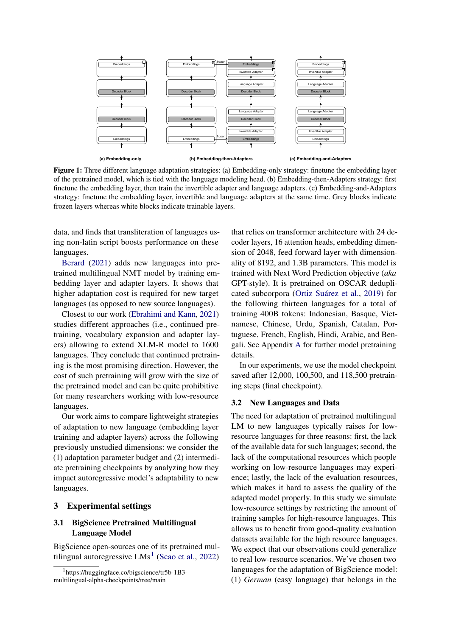<span id="page-1-1"></span>

Figure 1: Three different language adaptation strategies: (a) Embedding-only strategy: finetune the embedding layer of the pretrained model, which is tied with the language modeling head. (b) Embedding-then-Adapters strategy: first finetune the embedding layer, then train the invertible adapter and language adapters. (c) Embedding-and-Adapters strategy: finetune the embedding layer, invertible and language adapters at the same time. Grey blocks indicate frozen layers whereas white blocks indicate trainable layers.

data, and finds that transliteration of languages using non-latin script boosts performance on these languages.

[Berard](#page-4-3) [\(2021\)](#page-4-3) adds new languages into pretrained multilingual NMT model by training embedding layer and adapter layers. It shows that higher adaptation cost is required for new target languages (as opposed to new source languages).

Closest to our work [\(Ebrahimi and Kann,](#page-5-8) [2021\)](#page-5-8) studies different approaches (i.e., continued pretraining, vocabulary expansion and adapter layers) allowing to extend XLM-R model to 1600 languages. They conclude that continued pretraining is the most promising direction. However, the cost of such pretraining will grow with the size of the pretrained model and can be quite prohibitive for many researchers working with low-resource languages.

Our work aims to compare lightweight strategies of adaptation to new language (embedding layer training and adapter layers) across the following previously unstudied dimensions: we consider the (1) adaptation parameter budget and (2) intermediate pretraining checkpoints by analyzing how they impact autoregressive model's adaptability to new languages.

### 3 Experimental settings

# 3.1 BigScience Pretrained Multilingual Language Model

BigScience open-sources one of its pretrained multilingual autoregressive  $LMs<sup>1</sup>$  $LMs<sup>1</sup>$  $LMs<sup>1</sup>$  [\(Scao et al.,](#page-6-3) [2022\)](#page-6-3)

that relies on transformer architecture with 24 decoder layers, 16 attention heads, embedding dimension of 2048, feed forward layer with dimensionality of 8192, and 1.3B parameters. This model is trained with Next Word Prediction objective (*aka* GPT-style). It is pretrained on OSCAR deduplicated subcorpora [\(Ortiz Suárez et al.,](#page-5-9) [2019\)](#page-5-9) for the following thirteen languages for a total of training 400B tokens: Indonesian, Basque, Vietnamese, Chinese, Urdu, Spanish, Catalan, Portuguese, French, English, Hindi, Arabic, and Bengali. See Appendix [A](#page-6-4) for further model pretraining details.

In our experiments, we use the model checkpoint saved after 12,000, 100,500, and 118,500 pretraining steps (final checkpoint).

### 3.2 New Languages and Data

The need for adaptation of pretrained multilingual LM to new languages typically raises for lowresource languages for three reasons: first, the lack of the available data for such languages; second, the lack of the computational resources which people working on low-resource languages may experience; lastly, the lack of the evaluation resources, which makes it hard to assess the quality of the adapted model properly. In this study we simulate low-resource settings by restricting the amount of training samples for high-resource languages. This allows us to benefit from good-quality evaluation datasets available for the high resource languages. We expect that our observations could generalize to real low-resource scenarios. We've chosen two languages for the adaptation of BigScience model: (1) *German* (easy language) that belongs in the

<span id="page-1-0"></span><sup>1</sup> https://huggingface.co/bigscience/tr5b-1B3 multilingual-alpha-checkpoints/tree/main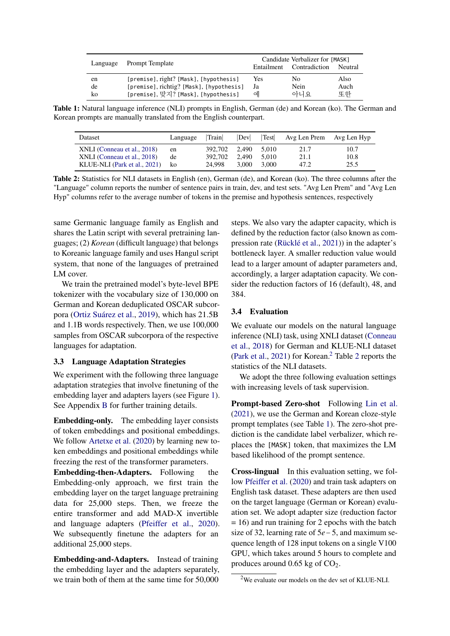<span id="page-2-2"></span>

| Language | Prompt Template                          | Candidate Verbalizer for [MASK]<br>Entailment Contradiction<br>Neutral |      |      |  |  |
|----------|------------------------------------------|------------------------------------------------------------------------|------|------|--|--|
| en       | [premise], right? [Mask], [hypothesis]   | Yes                                                                    | No.  | Also |  |  |
| de       | [premise], richtig? [Mask], [hypothesis] | Ja                                                                     | Nein | Auch |  |  |
| ko       | [premise], 맞지? [Mask], [hypothesis]      | 예                                                                      | 아니요  | 또한   |  |  |

<span id="page-2-1"></span>Table 1: Natural language inference (NLI) prompts in English, German (de) and Korean (ko). The German and Korean prompts are manually translated from the English counterpart.

| Dataset                                                                                    | Language       | Train                                    | Dev            |                | Test Avg Len Prem Avg Len Hyp |                      |
|--------------------------------------------------------------------------------------------|----------------|------------------------------------------|----------------|----------------|-------------------------------|----------------------|
| XNLI (Conneau et al., 2018)<br>XNLI (Conneau et al., 2018)<br>KLUE-NLI (Park et al., 2021) | en<br>de<br>ko | 392.702 2.490 5.010<br>392.702<br>24.998 | 2.490<br>3.000 | 5.010<br>3.000 | 21.7<br>21.1<br>47.2          | 10.7<br>10.8<br>25.5 |

Table 2: Statistics for NLI datasets in English (en), German (de), and Korean (ko). The three columns after the "Language" column reports the number of sentence pairs in train, dev, and test sets. "Avg Len Prem" and "Avg Len Hyp" columns refer to the average number of tokens in the premise and hypothesis sentences, respectively

same Germanic language family as English and shares the Latin script with several pretraining languages; (2) *Korean* (difficult language) that belongs to Koreanic language family and uses Hangul script system, that none of the languages of pretrained LM cover.

We train the pretrained model's byte-level BPE tokenizer with the vocabulary size of 130,000 on German and Korean deduplicated OSCAR subcorpora [\(Ortiz Suárez et al.,](#page-5-9) [2019\)](#page-5-9), which has 21.5B and 1.1B words respectively. Then, we use 100,000 samples from OSCAR subcorpora of the respective languages for adaptation.

# 3.3 Language Adaptation Strategies

We experiment with the following three language adaptation strategies that involve finetuning of the embedding layer and adapters layers (see Figure [1\)](#page-1-1). See Appendix [B](#page-6-5) for further training details.

Embedding-only. The embedding layer consists of token embeddings and positional embeddings. We follow [Artetxe et al.](#page-4-0) [\(2020\)](#page-4-0) by learning new token embeddings and positional embeddings while freezing the rest of the transformer parameters.

Embedding-then-Adapters. Following the Embedding-only approach, we first train the embedding layer on the target language pretraining data for 25,000 steps. Then, we freeze the entire transformer and add MAD-X invertible and language adapters [\(Pfeiffer et al.,](#page-5-4) [2020\)](#page-5-4). We subsequently finetune the adapters for an additional 25,000 steps.

Embedding-and-Adapters. Instead of training the embedding layer and the adapters separately, we train both of them at the same time for 50,000

steps. We also vary the adapter capacity, which is defined by the reduction factor (also known as compression rate [\(Rücklé et al.,](#page-6-6) [2021\)](#page-6-6)) in the adapter's bottleneck layer. A smaller reduction value would lead to a larger amount of adapter parameters and, accordingly, a larger adaptation capacity. We consider the reduction factors of 16 (default), 48, and 384.

#### 3.4 Evaluation

We evaluate our models on the natural language inference (NLI) task, using XNLI dataset [\(Conneau](#page-4-4) [et al.,](#page-4-4) [2018\)](#page-4-4) for German and KLUE-NLI dataset [\(Park et al.,](#page-5-10) [2021\)](#page-5-10) for Korean.<sup>[2](#page-2-1)</sup> Table 2 reports the statistics of the NLI datasets.

We adopt the three following evaluation settings with increasing levels of task supervision.

Prompt-based Zero-shot Following [Lin et al.](#page-5-11) [\(2021\)](#page-5-11), we use the German and Korean cloze-style prompt templates (see Table [1\)](#page-2-2). The zero-shot prediction is the candidate label verbalizer, which replaces the [MASK] token, that maximizes the LM based likelihood of the prompt sentence.

Cross-lingual In this evaluation setting, we follow [Pfeiffer et al.](#page-5-4) [\(2020\)](#page-5-4) and train task adapters on English task dataset. These adapters are then used on the target language (German or Korean) evaluation set. We adopt adapter size (reduction factor = 16) and run training for 2 epochs with the batch size of 32, learning rate of 5*e*−5, and maximum sequence length of 128 input tokens on a single V100 GPU, which takes around 5 hours to complete and produces around  $0.65$  kg of  $CO<sub>2</sub>$ .

<span id="page-2-0"></span><sup>&</sup>lt;sup>2</sup>We evaluate our models on the dev set of KLUE-NLI.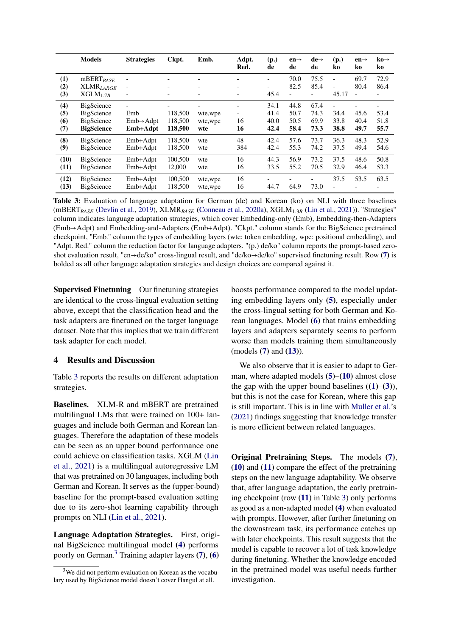<span id="page-3-9"></span><span id="page-3-8"></span><span id="page-3-5"></span><span id="page-3-4"></span><span id="page-3-2"></span><span id="page-3-1"></span>

|                          | <b>Models</b>                                               | <b>Strategies</b>                          | Ckpt.                         | Emb.                       | Adpt.<br>Red.                                                    | (p.)<br>de                   | $en \rightarrow$<br>de                   | $de\rightarrow$<br>de        | (p.)<br>ko                        | $en \rightarrow$<br>ko                   | $k\omega \rightarrow$<br>ko |
|--------------------------|-------------------------------------------------------------|--------------------------------------------|-------------------------------|----------------------------|------------------------------------------------------------------|------------------------------|------------------------------------------|------------------------------|-----------------------------------|------------------------------------------|-----------------------------|
| (1)<br>(2)<br>(3)        | $mBERT_{BASE}$<br>$\text{XLMR}_{LARGE}$<br>$XGLM_{1.7B}$    | $\overline{\phantom{a}}$                   | -<br>$\overline{\phantom{0}}$ | $\overline{\phantom{0}}$   | ٠<br>$\overline{\phantom{a}}$<br>٠                               | $\overline{a}$<br>-<br>45.4  | 70.0<br>82.5<br>$\overline{\phantom{0}}$ | 75.5<br>85.4                 | $\overline{\phantom{a}}$<br>45.17 | 69.7<br>80.4<br>$\overline{\phantom{a}}$ | 72.9<br>86.4                |
| (4)<br>(5)<br>(6)<br>(7) | BigScience<br>BigScience<br>BigScience<br><b>BigScience</b> | Emb<br>$Emb \rightarrow Addpt$<br>Emb+Adpt | 118,500<br>118,500<br>118,500 | wte, wpe<br>wte,wpe<br>wte | $\overline{\phantom{a}}$<br>$\overline{\phantom{a}}$<br>16<br>16 | 34.1<br>41.4<br>40.0<br>42.4 | 44.8<br>50.7<br>50.5<br>58.4             | 67.4<br>74.3<br>69.9<br>73.3 | ٠<br>34.4<br>33.8<br>38.8         | 45.6<br>40.4<br>49.7                     | 53.4<br>51.8<br>55.7        |
| (8)<br>(9)               | BigScience<br><b>BigScience</b>                             | Emb+Adpt<br>Emb+Adpt                       | 118,500<br>118,500            | wte<br>wte                 | 48<br>384                                                        | 42.4<br>42.4                 | 57.6<br>55.3                             | 73.7<br>74.2                 | 36.3<br>37.5                      | 48.3<br>49.4                             | 52.9<br>54.6                |
| (10)<br>(11)             | BigScience<br>BigScience                                    | Emb+Adpt<br>Emb+Adpt                       | 100,500<br>12,000             | wte<br>wte                 | 16<br>16                                                         | 44.3<br>33.5                 | 56.9<br>55.2                             | 73.2<br>70.5                 | 37.5<br>32.9                      | 48.6<br>46.4                             | 50.8<br>53.3                |
| (12)<br>(13)             | BigScience<br>BigScience                                    | Emb+Adpt<br>Emb+Adpt                       | 100,500<br>118,500            | wte,wpe<br>wte,wpe         | 16<br>16                                                         | 44.7                         | 64.9                                     | 73.0                         | 37.5<br>$\overline{a}$            | 53.5                                     | 63.5                        |

<span id="page-3-13"></span><span id="page-3-12"></span><span id="page-3-11"></span><span id="page-3-10"></span><span id="page-3-7"></span><span id="page-3-6"></span><span id="page-3-0"></span>Table 3: Evaluation of language adaptation for German (de) and Korean (ko) on NLI with three baselines (mBERT*BASE* [\(Devlin et al.,](#page-5-7) [2019\)](#page-5-7), XLMR*BASE* [\(Conneau et al.,](#page-4-1) [2020a\)](#page-4-1), XGLM1.3*<sup>B</sup>* [\(Lin et al.,](#page-5-11) [2021\)](#page-5-11)). "Strategies" column indicates language adaptation strategies, which cover Embedding-only (Emb), Embedding-then-Adapters (Emb→Adpt) and Embedding-and-Adapters (Emb+Adpt). "Ckpt." column stands for the BigScience pretrained checkpoint, "Emb." column the types of embedding layers (wte: token embedding, wpe: positional embedding), and "Adpt. Red." column the reduction factor for language adapters. "(p.) de/ko" column reports the prompt-based zeroshot evaluation result, "en→de/ko" cross-lingual result, and "de/ko→de/ko" supervised finetuning result. Row [\(7\)](#page-3-0) is bolded as all other language adaptation strategies and design choices are compared against it.

Supervised Finetuning Our finetuning strategies are identical to the cross-lingual evaluation setting above, except that the classification head and the task adapters are finetuned on the target language dataset. Note that this implies that we train different task adapter for each model.

# 4 Results and Discussion

Table [3](#page-3-1) reports the results on different adaptation strategies.

Baselines. XLM-R and mBERT are pretrained multilingual LMs that were trained on 100+ languages and include both German and Korean languages. Therefore the adaptation of these models can be seen as an upper bound performance one could achieve on classification tasks. XGLM [\(Lin](#page-5-11) [et al.,](#page-5-11) [2021\)](#page-5-11) is a multilingual autoregressive LM that was pretrained on 30 languages, including both German and Korean. It serves as the (upper-bound) baseline for the prompt-based evaluation setting due to its zero-shot learning capability through prompts on NLI [\(Lin et al.,](#page-5-11) [2021\)](#page-5-11).

Language Adaptation Strategies. First, original BigScience multilingual model [\(4\)](#page-3-2) performs poorly on German.[3](#page-3-3) Training adapter layers [\(7\)](#page-3-0), [\(6\)](#page-3-4)

boosts performance compared to the model updating embedding layers only [\(5\)](#page-3-5), especially under the cross-lingual setting for both German and Korean languages. Model [\(6\)](#page-3-4) that trains embedding layers and adapters separately seems to perform worse than models training them simultaneously  $(models (7) and (13)).$  $(models (7) and (13)).$  $(models (7) and (13)).$  $(models (7) and (13)).$  $(models (7) and (13)).$ 

We also observe that it is easier to adapt to German, where adapted models [\(5\)](#page-3-5)–[\(10\)](#page-3-7) almost close the gap with the upper bound baselines  $((1)–(3))$  $((1)–(3))$  $((1)–(3))$  $((1)–(3))$  $((1)–(3))$ , but this is not the case for Korean, where this gap is still important. This is in line with [Muller et al.'](#page-5-3)s [\(2021\)](#page-5-3) findings suggesting that knowledge transfer is more efficient between related languages.

Original Pretraining Steps. The models [\(7\)](#page-3-0), [\(10\)](#page-3-7) and [\(11\)](#page-3-10) compare the effect of the pretraining steps on the new language adaptability. We observe that, after language adaptation, the early pretraining checkpoint (row [\(11\)](#page-3-10) in Table [3\)](#page-3-1) only performs as good as a non-adapted model [\(4\)](#page-3-2) when evaluated with prompts. However, after further finetuning on the downstream task, its performance catches up with later checkpoints. This result suggests that the model is capable to recover a lot of task knowledge during finetuning. Whether the knowledge encoded in the pretrained model was useful needs further investigation.

<span id="page-3-3"></span> $3$ We did not perform evaluation on Korean as the vocabulary used by BigScience model doesn't cover Hangul at all.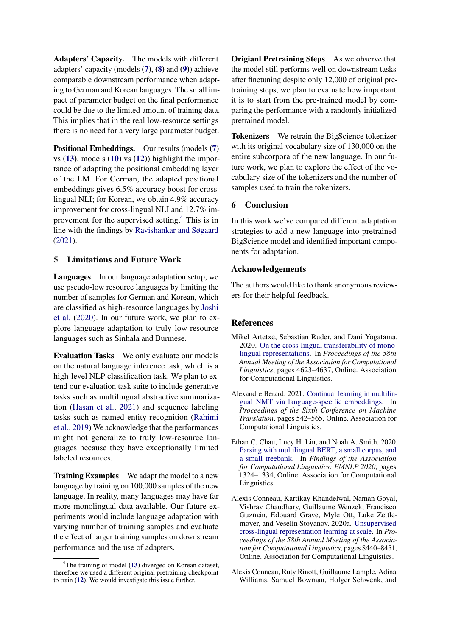Adapters' Capacity. The models with different adapters' capacity (models [\(7\)](#page-3-0), [\(8\)](#page-3-11) and [\(9\)](#page-3-12)) achieve comparable downstream performance when adapting to German and Korean languages. The small impact of parameter budget on the final performance could be due to the limited amount of training data. This implies that in the real low-resource settings there is no need for a very large parameter budget.

Positional Embeddings. Our results (models [\(7\)](#page-3-0) vs  $(13)$ , models  $(10)$  vs  $(12)$ ) highlight the importance of adapting the positional embedding layer of the LM. For German, the adapted positional embeddings gives 6.5% accuracy boost for crosslingual NLI; for Korean, we obtain 4.9% accuracy improvement for cross-lingual NLI and 12.7% improvement for the supervised setting.[4](#page-4-5) This is in line with the findings by [Ravishankar and Søgaard](#page-6-7) [\(2021\)](#page-6-7).

# 5 Limitations and Future Work

Languages In our language adaptation setup, we use pseudo-low resource languages by limiting the number of samples for German and Korean, which are classified as high-resource languages by [Joshi](#page-5-12) [et al.](#page-5-12) [\(2020\)](#page-5-12). In our future work, we plan to explore language adaptation to truly low-resource languages such as Sinhala and Burmese.

Evaluation Tasks We only evaluate our models on the natural language inference task, which is a high-level NLP classification task. We plan to extend our evaluation task suite to include generative tasks such as multilingual abstractive summarization [\(Hasan et al.,](#page-5-13) [2021\)](#page-5-13) and sequence labeling tasks such as named entity recognition [\(Rahimi](#page-6-8) [et al.,](#page-6-8) [2019\)](#page-6-8) We acknowledge that the performances might not generalize to truly low-resource languages because they have exceptionally limited labeled resources.

Training Examples We adapt the model to a new language by training on 100,000 samples of the new language. In reality, many languages may have far more monolingual data available. Our future experiments would include language adaptation with varying number of training samples and evaluate the effect of larger training samples on downstream performance and the use of adapters.

Origianl Pretraining Steps As we observe that the model still performs well on downstream tasks after finetuning despite only 12,000 of original pretraining steps, we plan to evaluate how important it is to start from the pre-trained model by comparing the performance with a randomly initialized pretrained model.

Tokenizers We retrain the BigScience tokenizer with its original vocabulary size of 130,000 on the entire subcorpora of the new language. In our future work, we plan to explore the effect of the vocabulary size of the tokenizers and the number of samples used to train the tokenizers.

# 6 Conclusion

In this work we've compared different adaptation strategies to add a new language into pretrained BigScience model and identified important components for adaptation.

### Acknowledgements

The authors would like to thank anonymous reviewers for their helpful feedback.

### **References**

- <span id="page-4-0"></span>Mikel Artetxe, Sebastian Ruder, and Dani Yogatama. 2020. [On the cross-lingual transferability of mono](https://doi.org/10.18653/v1/2020.acl-main.421)[lingual representations.](https://doi.org/10.18653/v1/2020.acl-main.421) In *Proceedings of the 58th Annual Meeting of the Association for Computational Linguistics*, pages 4623–4637, Online. Association for Computational Linguistics.
- <span id="page-4-3"></span>Alexandre Berard. 2021. [Continual learning in multilin](https://aclanthology.org/2021.wmt-1.62)[gual NMT via language-specific embeddings.](https://aclanthology.org/2021.wmt-1.62) In *Proceedings of the Sixth Conference on Machine Translation*, pages 542–565, Online. Association for Computational Linguistics.
- <span id="page-4-2"></span>Ethan C. Chau, Lucy H. Lin, and Noah A. Smith. 2020. [Parsing with multilingual BERT, a small corpus, and](https://doi.org/10.18653/v1/2020.findings-emnlp.118) [a small treebank.](https://doi.org/10.18653/v1/2020.findings-emnlp.118) In *Findings of the Association for Computational Linguistics: EMNLP 2020*, pages 1324–1334, Online. Association for Computational Linguistics.
- <span id="page-4-1"></span>Alexis Conneau, Kartikay Khandelwal, Naman Goyal, Vishrav Chaudhary, Guillaume Wenzek, Francisco Guzmán, Edouard Grave, Myle Ott, Luke Zettlemoyer, and Veselin Stoyanov. 2020a. [Unsupervised](https://doi.org/10.18653/v1/2020.acl-main.747) [cross-lingual representation learning at scale.](https://doi.org/10.18653/v1/2020.acl-main.747) In *Proceedings of the 58th Annual Meeting of the Association for Computational Linguistics*, pages 8440–8451, Online. Association for Computational Linguistics.
- <span id="page-4-4"></span>Alexis Conneau, Ruty Rinott, Guillaume Lample, Adina Williams, Samuel Bowman, Holger Schwenk, and

<span id="page-4-5"></span> $4$ The training of model [\(13\)](#page-3-6) diverged on Korean dataset, therefore we used a different original pretraining checkpoint to train [\(12\)](#page-3-13). We would investigate this issue further.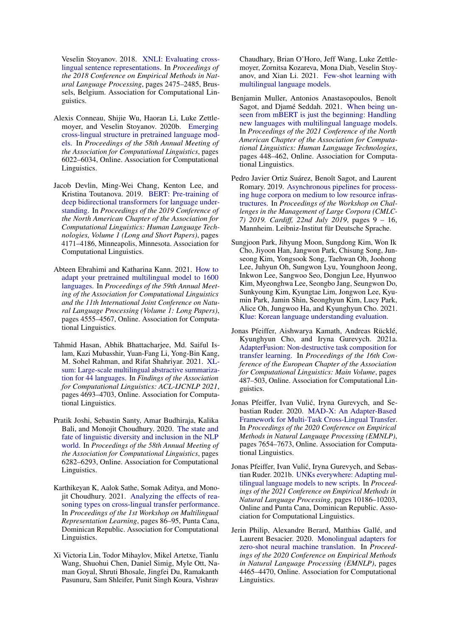Veselin Stoyanov. 2018. [XNLI: Evaluating cross](https://doi.org/10.18653/v1/D18-1269)[lingual sentence representations.](https://doi.org/10.18653/v1/D18-1269) In *Proceedings of the 2018 Conference on Empirical Methods in Natural Language Processing*, pages 2475–2485, Brussels, Belgium. Association for Computational Linguistics.

- <span id="page-5-0"></span>Alexis Conneau, Shijie Wu, Haoran Li, Luke Zettlemoyer, and Veselin Stoyanov. 2020b. [Emerging](https://doi.org/10.18653/v1/2020.acl-main.536) [cross-lingual structure in pretrained language mod](https://doi.org/10.18653/v1/2020.acl-main.536)[els.](https://doi.org/10.18653/v1/2020.acl-main.536) In *Proceedings of the 58th Annual Meeting of the Association for Computational Linguistics*, pages 6022–6034, Online. Association for Computational Linguistics.
- <span id="page-5-7"></span>Jacob Devlin, Ming-Wei Chang, Kenton Lee, and Kristina Toutanova. 2019. [BERT: Pre-training of](https://doi.org/10.18653/v1/N19-1423) [deep bidirectional transformers for language under](https://doi.org/10.18653/v1/N19-1423)[standing.](https://doi.org/10.18653/v1/N19-1423) In *Proceedings of the 2019 Conference of the North American Chapter of the Association for Computational Linguistics: Human Language Technologies, Volume 1 (Long and Short Papers)*, pages 4171–4186, Minneapolis, Minnesota. Association for Computational Linguistics.
- <span id="page-5-8"></span>Abteen Ebrahimi and Katharina Kann. 2021. [How to](https://doi.org/10.18653/v1/2021.acl-long.351) [adapt your pretrained multilingual model to 1600](https://doi.org/10.18653/v1/2021.acl-long.351) [languages.](https://doi.org/10.18653/v1/2021.acl-long.351) In *Proceedings of the 59th Annual Meeting of the Association for Computational Linguistics and the 11th International Joint Conference on Natural Language Processing (Volume 1: Long Papers)*, pages 4555–4567, Online. Association for Computational Linguistics.
- <span id="page-5-13"></span>Tahmid Hasan, Abhik Bhattacharjee, Md. Saiful Islam, Kazi Mubasshir, Yuan-Fang Li, Yong-Bin Kang, M. Sohel Rahman, and Rifat Shahriyar. 2021. [XL](https://doi.org/10.18653/v1/2021.findings-acl.413)[sum: Large-scale multilingual abstractive summariza](https://doi.org/10.18653/v1/2021.findings-acl.413)[tion for 44 languages.](https://doi.org/10.18653/v1/2021.findings-acl.413) In *Findings of the Association for Computational Linguistics: ACL-IJCNLP 2021*, pages 4693–4703, Online. Association for Computational Linguistics.
- <span id="page-5-12"></span>Pratik Joshi, Sebastin Santy, Amar Budhiraja, Kalika Bali, and Monojit Choudhury. 2020. [The state and](https://doi.org/10.18653/v1/2020.acl-main.560) [fate of linguistic diversity and inclusion in the NLP](https://doi.org/10.18653/v1/2020.acl-main.560) [world.](https://doi.org/10.18653/v1/2020.acl-main.560) In *Proceedings of the 58th Annual Meeting of the Association for Computational Linguistics*, pages 6282–6293, Online. Association for Computational Linguistics.
- <span id="page-5-1"></span>Karthikeyan K, Aalok Sathe, Somak Aditya, and Monojit Choudhury. 2021. [Analyzing the effects of rea](https://doi.org/10.18653/v1/2021.mrl-1.8)[soning types on cross-lingual transfer performance.](https://doi.org/10.18653/v1/2021.mrl-1.8) In *Proceedings of the 1st Workshop on Multilingual Representation Learning*, pages 86–95, Punta Cana, Dominican Republic. Association for Computational Linguistics.
- <span id="page-5-11"></span>Xi Victoria Lin, Todor Mihaylov, Mikel Artetxe, Tianlu Wang, Shuohui Chen, Daniel Simig, Myle Ott, Naman Goyal, Shruti Bhosale, Jingfei Du, Ramakanth Pasunuru, Sam Shleifer, Punit Singh Koura, Vishrav

Chaudhary, Brian O'Horo, Jeff Wang, Luke Zettlemoyer, Zornitsa Kozareva, Mona Diab, Veselin Stoyanov, and Xian Li. 2021. [Few-shot learning with](http://arxiv.org/abs/arXiv:2112.10668) [multilingual language models.](http://arxiv.org/abs/arXiv:2112.10668)

- <span id="page-5-3"></span>Benjamin Muller, Antonios Anastasopoulos, Benoît Sagot, and Djamé Seddah. 2021. [When being un](https://doi.org/10.18653/v1/2021.naacl-main.38)[seen from mBERT is just the beginning: Handling](https://doi.org/10.18653/v1/2021.naacl-main.38) [new languages with multilingual language models.](https://doi.org/10.18653/v1/2021.naacl-main.38) In *Proceedings of the 2021 Conference of the North American Chapter of the Association for Computational Linguistics: Human Language Technologies*, pages 448–462, Online. Association for Computational Linguistics.
- <span id="page-5-9"></span>Pedro Javier Ortiz Suárez, Benoît Sagot, and Laurent Romary. 2019. [Asynchronous pipelines for process](https://doi.org/10.14618/ids-pub-9021)[ing huge corpora on medium to low resource infras](https://doi.org/10.14618/ids-pub-9021)[tructures.](https://doi.org/10.14618/ids-pub-9021) In *Proceedings of the Workshop on Challenges in the Management of Large Corpora (CMLC-7) 2019. Cardiff, 22nd July 2019*, pages 9 – 16, Mannheim. Leibniz-Institut für Deutsche Sprache.
- <span id="page-5-10"></span>Sungjoon Park, Jihyung Moon, Sungdong Kim, Won Ik Cho, Jiyoon Han, Jangwon Park, Chisung Song, Junseong Kim, Yongsook Song, Taehwan Oh, Joohong Lee, Juhyun Oh, Sungwon Lyu, Younghoon Jeong, Inkwon Lee, Sangwoo Seo, Dongjun Lee, Hyunwoo Kim, Myeonghwa Lee, Seongbo Jang, Seungwon Do, Sunkyoung Kim, Kyungtae Lim, Jongwon Lee, Kyumin Park, Jamin Shin, Seonghyun Kim, Lucy Park, Alice Oh, Jungwoo Ha, and Kyunghyun Cho. 2021. [Klue: Korean language understanding evaluation.](http://arxiv.org/abs/2105.09680)
- <span id="page-5-5"></span>Jonas Pfeiffer, Aishwarya Kamath, Andreas Rücklé, Kyunghyun Cho, and Iryna Gurevych. 2021a. [AdapterFusion: Non-destructive task composition for](https://doi.org/10.18653/v1/2021.eacl-main.39) [transfer learning.](https://doi.org/10.18653/v1/2021.eacl-main.39) In *Proceedings of the 16th Conference of the European Chapter of the Association for Computational Linguistics: Main Volume*, pages 487–503, Online. Association for Computational Linguistics.
- <span id="page-5-4"></span>Jonas Pfeiffer, Ivan Vulić, Iryna Gurevych, and Sebastian Ruder. 2020. [MAD-X: An Adapter-Based](https://doi.org/10.18653/v1/2020.emnlp-main.617) [Framework for Multi-Task Cross-Lingual Transfer.](https://doi.org/10.18653/v1/2020.emnlp-main.617) In *Proceedings of the 2020 Conference on Empirical Methods in Natural Language Processing (EMNLP)*, pages 7654–7673, Online. Association for Computational Linguistics.
- <span id="page-5-2"></span>Jonas Pfeiffer, Ivan Vulic, Iryna Gurevych, and Sebas- ´ tian Ruder. 2021b. [UNKs everywhere: Adapting mul](https://doi.org/10.18653/v1/2021.emnlp-main.800)[tilingual language models to new scripts.](https://doi.org/10.18653/v1/2021.emnlp-main.800) In *Proceedings of the 2021 Conference on Empirical Methods in Natural Language Processing*, pages 10186–10203, Online and Punta Cana, Dominican Republic. Association for Computational Linguistics.
- <span id="page-5-6"></span>Jerin Philip, Alexandre Berard, Matthias Gallé, and Laurent Besacier. 2020. [Monolingual adapters for](https://doi.org/10.18653/v1/2020.emnlp-main.361) [zero-shot neural machine translation.](https://doi.org/10.18653/v1/2020.emnlp-main.361) In *Proceedings of the 2020 Conference on Empirical Methods in Natural Language Processing (EMNLP)*, pages 4465–4470, Online. Association for Computational Linguistics.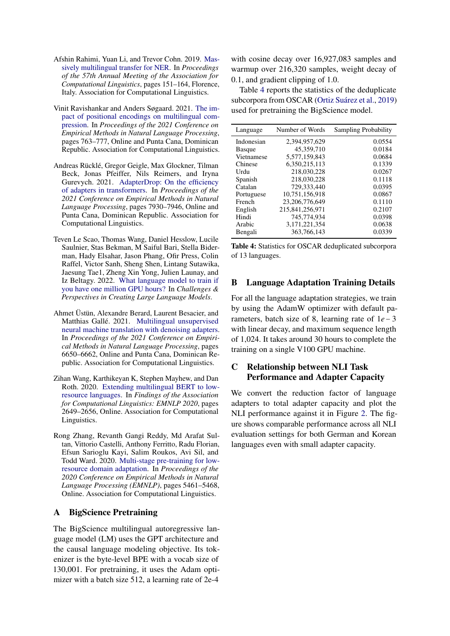- <span id="page-6-8"></span>Afshin Rahimi, Yuan Li, and Trevor Cohn. 2019. [Mas](https://doi.org/10.18653/v1/P19-1015)[sively multilingual transfer for NER.](https://doi.org/10.18653/v1/P19-1015) In *Proceedings of the 57th Annual Meeting of the Association for Computational Linguistics*, pages 151–164, Florence, Italy. Association for Computational Linguistics.
- <span id="page-6-7"></span>Vinit Ravishankar and Anders Søgaard. 2021. [The im](https://doi.org/10.18653/v1/2021.emnlp-main.59)[pact of positional encodings on multilingual com](https://doi.org/10.18653/v1/2021.emnlp-main.59)[pression.](https://doi.org/10.18653/v1/2021.emnlp-main.59) In *Proceedings of the 2021 Conference on Empirical Methods in Natural Language Processing*, pages 763–777, Online and Punta Cana, Dominican Republic. Association for Computational Linguistics.
- <span id="page-6-6"></span>Andreas Rücklé, Gregor Geigle, Max Glockner, Tilman Beck, Jonas Pfeiffer, Nils Reimers, and Iryna Gurevych. 2021. [AdapterDrop: On the efficiency](https://doi.org/10.18653/v1/2021.emnlp-main.626) [of adapters in transformers.](https://doi.org/10.18653/v1/2021.emnlp-main.626) In *Proceedings of the 2021 Conference on Empirical Methods in Natural Language Processing*, pages 7930–7946, Online and Punta Cana, Dominican Republic. Association for Computational Linguistics.
- <span id="page-6-3"></span>Teven Le Scao, Thomas Wang, Daniel Hesslow, Lucile Saulnier, Stas Bekman, M Saiful Bari, Stella Biderman, Hady Elsahar, Jason Phang, Ofir Press, Colin Raffel, Victor Sanh, Sheng Shen, Lintang Sutawika, Jaesung Tae1, Zheng Xin Yong, Julien Launay, and Iz Beltagy. 2022. [What language model to train if](https://openreview.net/forum?id=rI7BL3fHIZq) [you have one million GPU hours?](https://openreview.net/forum?id=rI7BL3fHIZq) In *Challenges & Perspectives in Creating Large Language Models*.
- <span id="page-6-2"></span>Ahmet Üstün, Alexandre Berard, Laurent Besacier, and Matthias Gallé. 2021. [Multilingual unsupervised](https://doi.org/10.18653/v1/2021.emnlp-main.533) [neural machine translation with denoising adapters.](https://doi.org/10.18653/v1/2021.emnlp-main.533) In *Proceedings of the 2021 Conference on Empirical Methods in Natural Language Processing*, pages 6650–6662, Online and Punta Cana, Dominican Republic. Association for Computational Linguistics.
- <span id="page-6-1"></span>Zihan Wang, Karthikeyan K, Stephen Mayhew, and Dan Roth. 2020. [Extending multilingual BERT to low](https://doi.org/10.18653/v1/2020.findings-emnlp.240)[resource languages.](https://doi.org/10.18653/v1/2020.findings-emnlp.240) In *Findings of the Association for Computational Linguistics: EMNLP 2020*, pages 2649–2656, Online. Association for Computational Linguistics.
- <span id="page-6-0"></span>Rong Zhang, Revanth Gangi Reddy, Md Arafat Sultan, Vittorio Castelli, Anthony Ferritto, Radu Florian, Efsun Sarioglu Kayi, Salim Roukos, Avi Sil, and Todd Ward. 2020. [Multi-stage pre-training for low](https://doi.org/10.18653/v1/2020.emnlp-main.440)[resource domain adaptation.](https://doi.org/10.18653/v1/2020.emnlp-main.440) In *Proceedings of the 2020 Conference on Empirical Methods in Natural Language Processing (EMNLP)*, pages 5461–5468, Online. Association for Computational Linguistics.

#### <span id="page-6-4"></span>A BigScience Pretraining

The BigScience multilingual autoregressive language model (LM) uses the GPT architecture and the causal language modeling objective. Its tokenizer is the byte-level BPE with a vocab size of 130,001. For pretraining, it uses the Adam optimizer with a batch size 512, a learning rate of 2e-4

with cosine decay over 16,927,083 samples and warmup over 216,320 samples, weight decay of 0.1, and gradient clipping of 1.0.

Table [4](#page-6-9) reports the statistics of the deduplicate subcorpora from OSCAR [\(Ortiz Suárez et al.,](#page-5-9) [2019\)](#page-5-9) used for pretraining the BigScience model.

<span id="page-6-9"></span>

| Language      | Number of Words | Sampling Probability |
|---------------|-----------------|----------------------|
| Indonesian    | 2,394,957,629   | 0.0554               |
| <b>Basque</b> | 45,359,710      | 0.0184               |
| Vietnamese    | 5.577.159.843   | 0.0684               |
| Chinese       | 6.350.215.113   | 0.1339               |
| Urdu          | 218,030,228     | 0.0267               |
| Spanish       | 218,030,228     | 0.1118               |
| Catalan       | 729,333,440     | 0.0395               |
| Portuguese    | 10.751.156.918  | 0.0867               |
| French        | 23.206.776.649  | 0.1110               |
| English       | 215.841.256.971 | 0.2107               |
| Hindi         | 745.774.934     | 0.0398               |
| Arabic        | 3,171,221,354   | 0.0638               |
| Bengali       | 363,766,143     | 0.0339               |

Table 4: Statistics for OSCAR deduplicated subcorpora of 13 languages.

#### <span id="page-6-5"></span>B Language Adaptation Training Details

For all the language adaptation strategies, we train by using the AdamW optimizer with default parameters, batch size of 8, learning rate of 1*e* − 3 with linear decay, and maximum sequence length of 1,024. It takes around 30 hours to complete the training on a single V100 GPU machine.

# C Relationship between NLI Task Performance and Adapter Capacity

We convert the reduction factor of language adapters to total adapter capacity and plot the NLI performance against it in Figure [2.](#page-7-0) The figure shows comparable performance across all NLI evaluation settings for both German and Korean languages even with small adapter capacity.